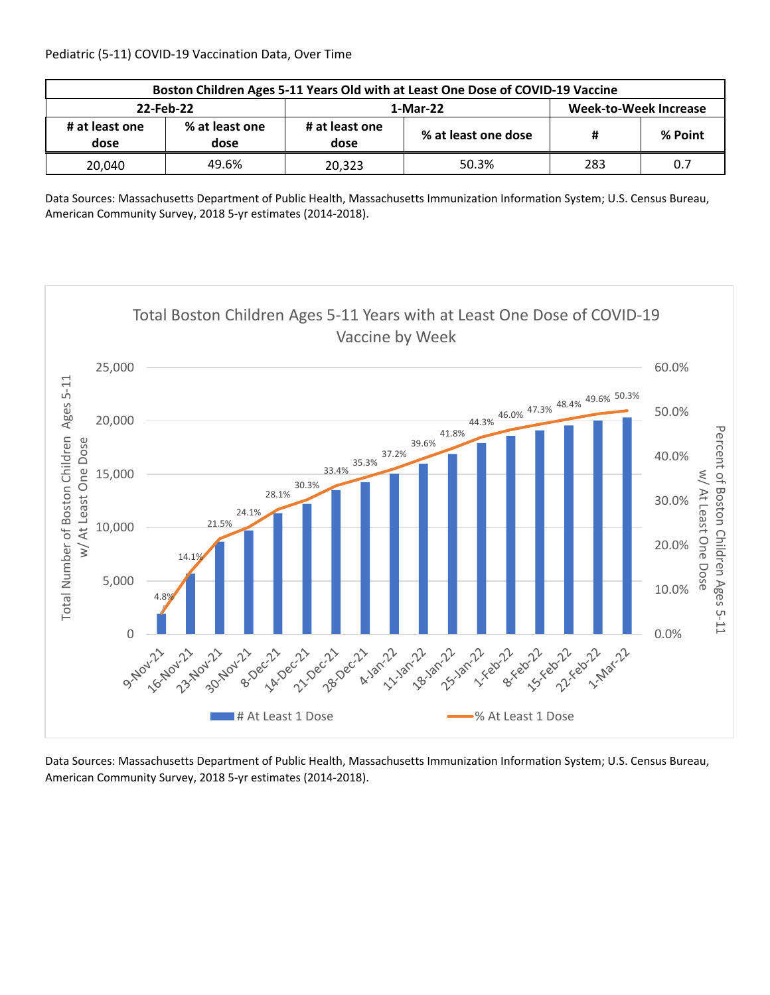| Boston Children Ages 5-11 Years Old with at Least One Dose of COVID-19 Vaccine |                        |                        |                     |                              |         |  |  |
|--------------------------------------------------------------------------------|------------------------|------------------------|---------------------|------------------------------|---------|--|--|
| 22-Feb-22                                                                      |                        |                        | 1-Mar-22            | <b>Week-to-Week Increase</b> |         |  |  |
| # at least one<br>dose                                                         | % at least one<br>dose | # at least one<br>dose | % at least one dose | #                            | % Point |  |  |
| 20.040                                                                         | 49.6%                  | 20.323                 | 50.3%               | 283                          | 0.7     |  |  |

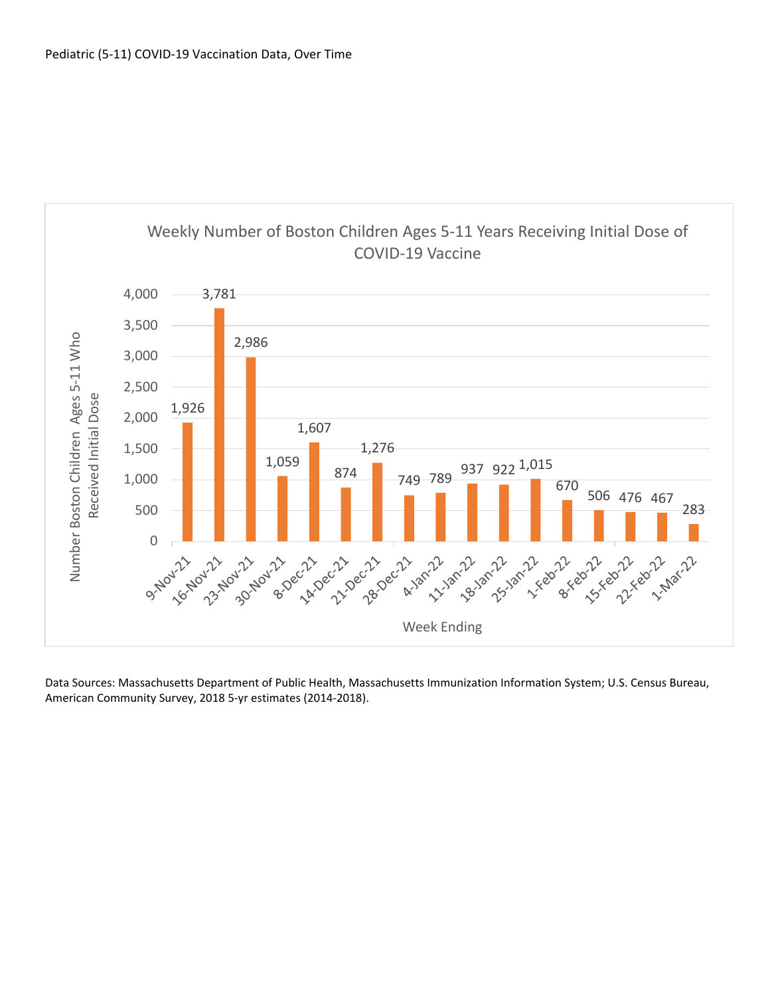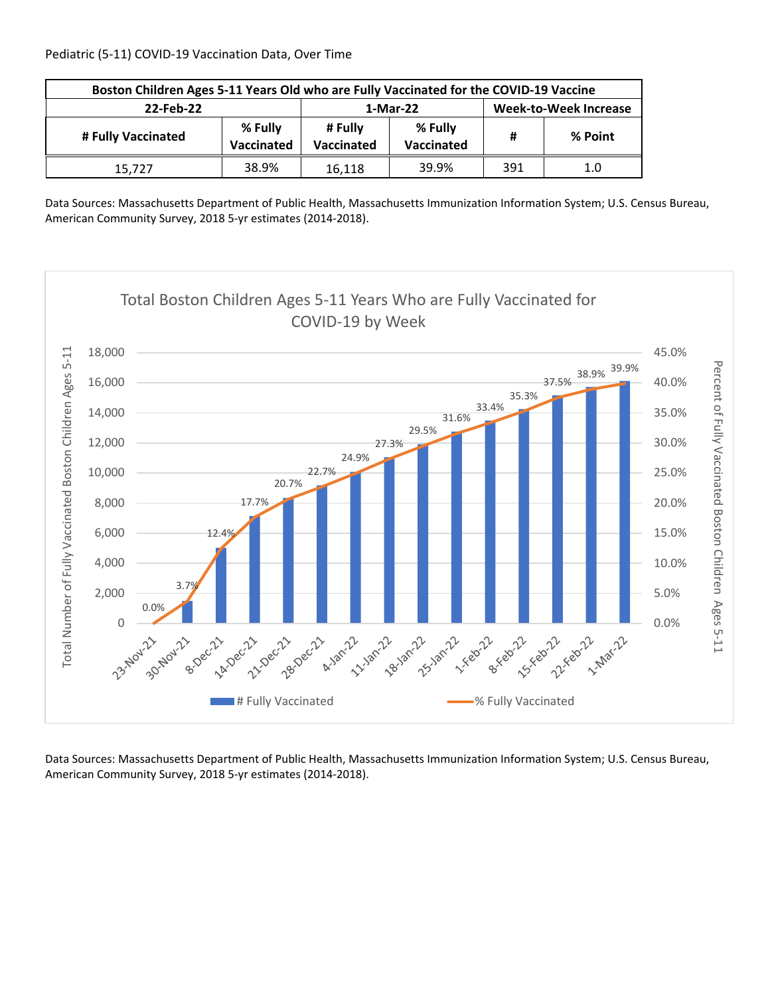| Boston Children Ages 5-11 Years Old who are Fully Vaccinated for the COVID-19 Vaccine |                       |                       |                              |     |         |  |
|---------------------------------------------------------------------------------------|-----------------------|-----------------------|------------------------------|-----|---------|--|
| 22-Feb-22                                                                             |                       | 1-Mar-22              | <b>Week-to-Week Increase</b> |     |         |  |
| # Fully Vaccinated                                                                    | % Fully<br>Vaccinated | # Fully<br>Vaccinated | % Fully<br>Vaccinated        | Ħ   | % Point |  |
| 15.727                                                                                | 38.9%                 | 16.118                | 39.9%                        | 391 | 1.0     |  |

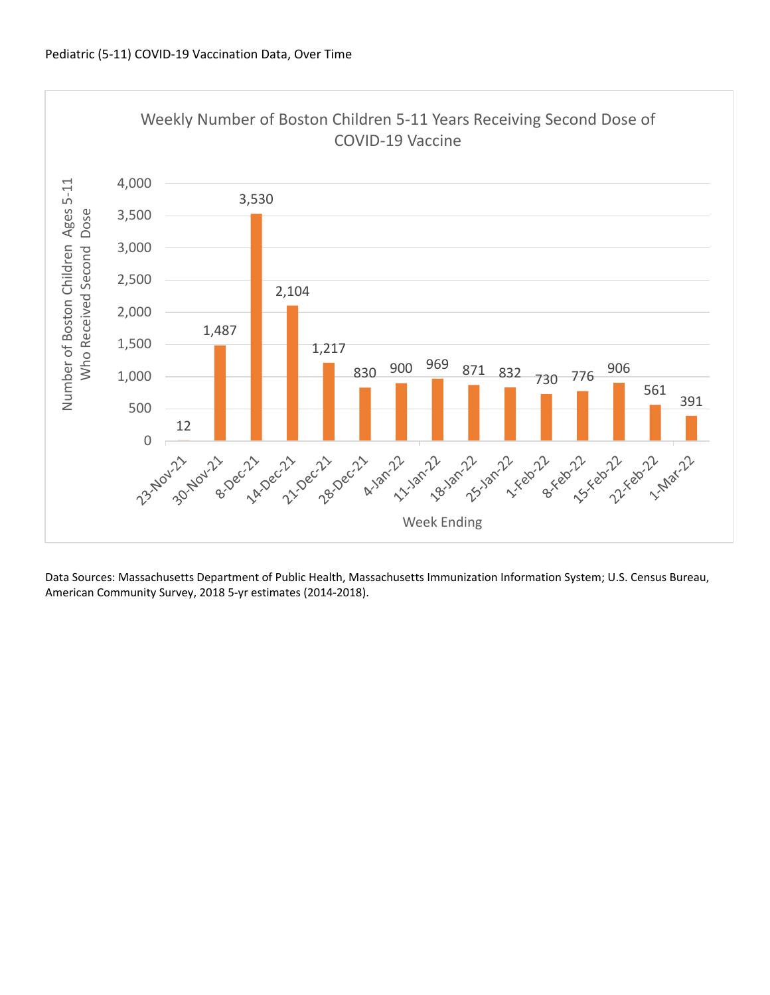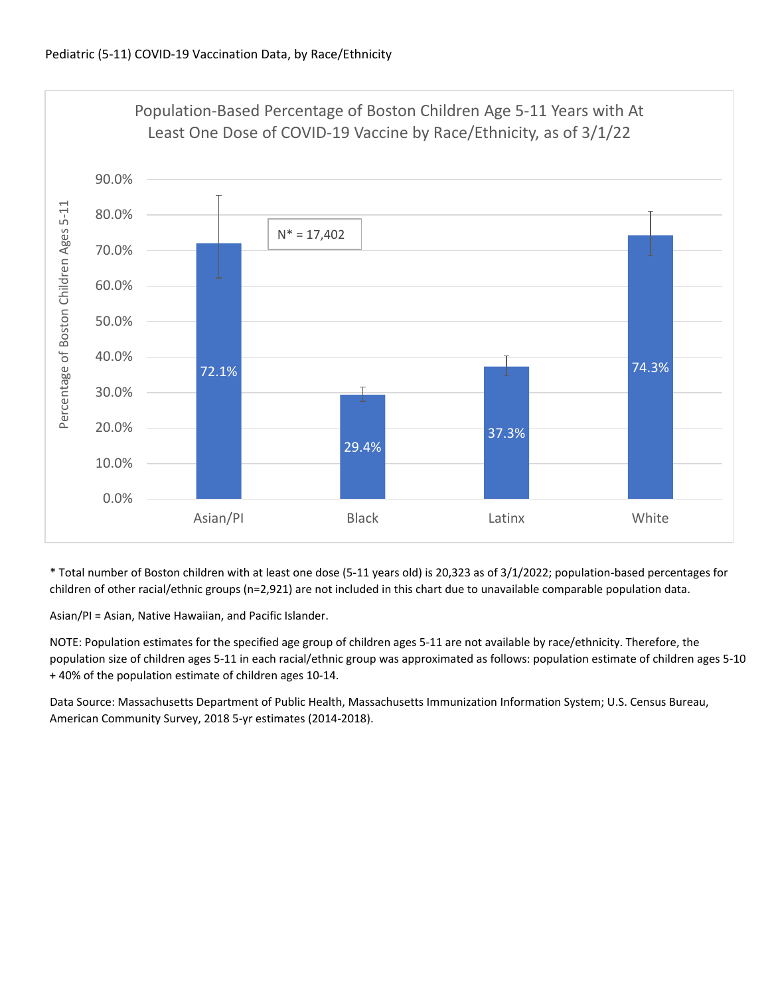

\* Total number of Boston children with at least one dose (5‐11 years old) is 20,323 as of 3/1/2022; population‐based percentages for children of other racial/ethnic groups (n=2,921) are not included in this chart due to unavailable comparable population data.

Asian/PI = Asian, Native Hawaiian, and Pacific Islander.

NOTE: Population estimates for the specified age group of children ages 5‐11 are not available by race/ethnicity. Therefore, the population size of children ages 5‐11 in each racial/ethnic group was approximated as follows: population estimate of children ages 5‐10 + 40% of the population estimate of children ages 10‐14.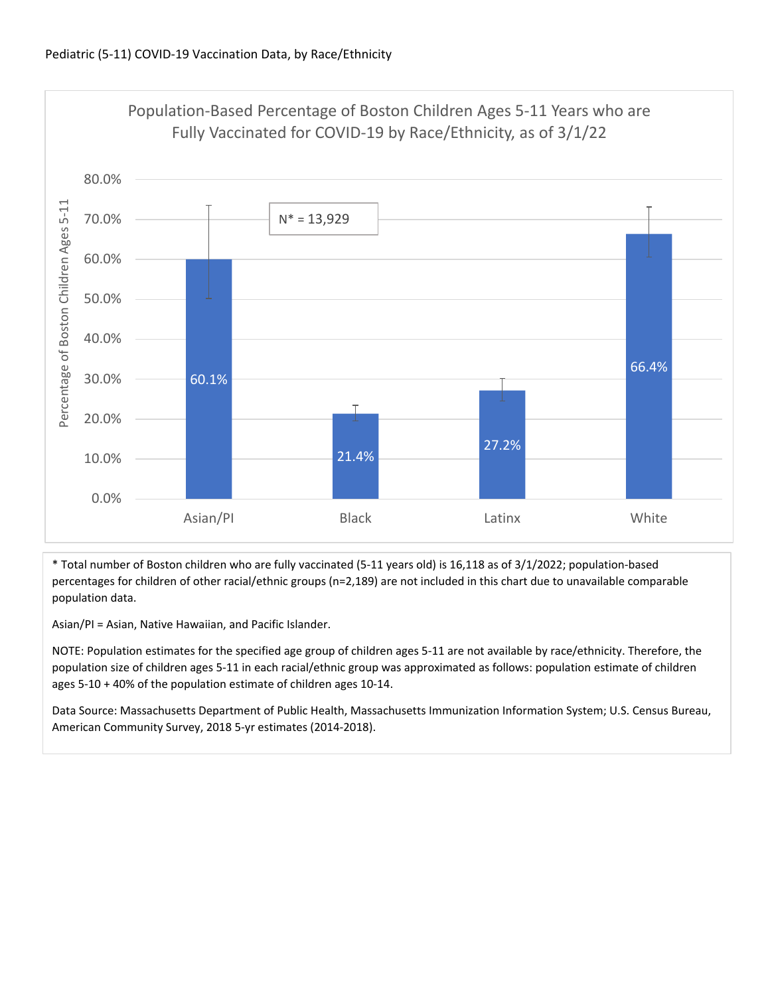

\* Total number of Boston children who are fully vaccinated (5‐11 years old) is 16,118 as of 3/1/2022; population‐based percentages for children of other racial/ethnic groups (n=2,189) are not included in this chart due to unavailable comparable population data.

Asian/PI = Asian, Native Hawaiian, and Pacific Islander.

NOTE: Population estimates for the specified age group of children ages 5‐11 are not available by race/ethnicity. Therefore, the population size of children ages 5‐11 in each racial/ethnic group was approximated as follows: population estimate of children ages 5‐10 + 40% of the population estimate of children ages 10‐14.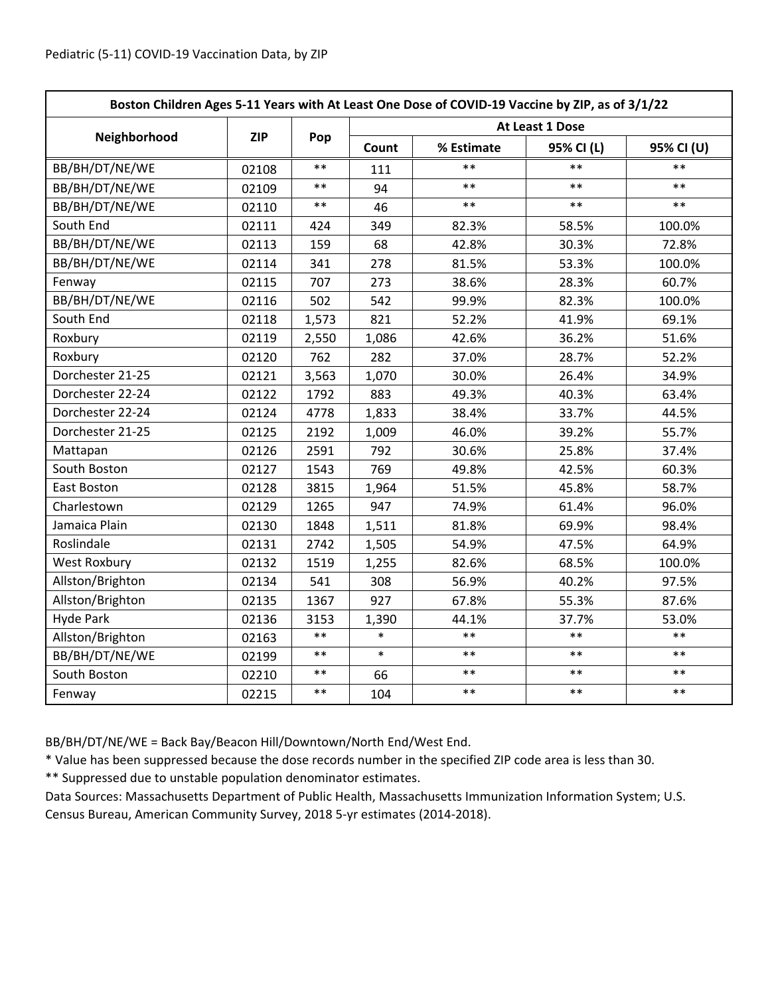| Boston Children Ages 5-11 Years with At Least One Dose of COVID-19 Vaccine by ZIP, as of 3/1/22 |            |       |                 |            |            |            |  |
|-------------------------------------------------------------------------------------------------|------------|-------|-----------------|------------|------------|------------|--|
|                                                                                                 | <b>ZIP</b> | Pop   | At Least 1 Dose |            |            |            |  |
| Neighborhood                                                                                    |            |       | Count           | % Estimate | 95% CI (L) | 95% CI (U) |  |
| BB/BH/DT/NE/WE                                                                                  | 02108      | $***$ | 111             | $\ast\ast$ | $***$      | $**$       |  |
| BB/BH/DT/NE/WE                                                                                  | 02109      | $***$ | 94              | $**$       | $**$       | $***$      |  |
| BB/BH/DT/NE/WE                                                                                  | 02110      | $***$ | 46              | $**$       | $**$       | $***$      |  |
| South End                                                                                       | 02111      | 424   | 349             | 82.3%      | 58.5%      | 100.0%     |  |
| BB/BH/DT/NE/WE                                                                                  | 02113      | 159   | 68              | 42.8%      | 30.3%      | 72.8%      |  |
| BB/BH/DT/NE/WE                                                                                  | 02114      | 341   | 278             | 81.5%      | 53.3%      | 100.0%     |  |
| Fenway                                                                                          | 02115      | 707   | 273             | 38.6%      | 28.3%      | 60.7%      |  |
| BB/BH/DT/NE/WE                                                                                  | 02116      | 502   | 542             | 99.9%      | 82.3%      | 100.0%     |  |
| South End                                                                                       | 02118      | 1,573 | 821             | 52.2%      | 41.9%      | 69.1%      |  |
| Roxbury                                                                                         | 02119      | 2,550 | 1,086           | 42.6%      | 36.2%      | 51.6%      |  |
| Roxbury                                                                                         | 02120      | 762   | 282             | 37.0%      | 28.7%      | 52.2%      |  |
| Dorchester 21-25                                                                                | 02121      | 3,563 | 1,070           | 30.0%      | 26.4%      | 34.9%      |  |
| Dorchester 22-24                                                                                | 02122      | 1792  | 883             | 49.3%      | 40.3%      | 63.4%      |  |
| Dorchester 22-24                                                                                | 02124      | 4778  | 1,833           | 38.4%      | 33.7%      | 44.5%      |  |
| Dorchester 21-25                                                                                | 02125      | 2192  | 1,009           | 46.0%      | 39.2%      | 55.7%      |  |
| Mattapan                                                                                        | 02126      | 2591  | 792             | 30.6%      | 25.8%      | 37.4%      |  |
| South Boston                                                                                    | 02127      | 1543  | 769             | 49.8%      | 42.5%      | 60.3%      |  |
| East Boston                                                                                     | 02128      | 3815  | 1,964           | 51.5%      | 45.8%      | 58.7%      |  |
| Charlestown                                                                                     | 02129      | 1265  | 947             | 74.9%      | 61.4%      | 96.0%      |  |
| Jamaica Plain                                                                                   | 02130      | 1848  | 1,511           | 81.8%      | 69.9%      | 98.4%      |  |
| Roslindale                                                                                      | 02131      | 2742  | 1,505           | 54.9%      | 47.5%      | 64.9%      |  |
| <b>West Roxbury</b>                                                                             | 02132      | 1519  | 1,255           | 82.6%      | 68.5%      | 100.0%     |  |
| Allston/Brighton                                                                                | 02134      | 541   | 308             | 56.9%      | 40.2%      | 97.5%      |  |
| Allston/Brighton                                                                                | 02135      | 1367  | 927             | 67.8%      | 55.3%      | 87.6%      |  |
| <b>Hyde Park</b>                                                                                | 02136      | 3153  | 1,390           | 44.1%      | 37.7%      | 53.0%      |  |
| Allston/Brighton                                                                                | 02163      | $***$ | $\ast$          | $**$       | $***$      | $**$       |  |
| BB/BH/DT/NE/WE                                                                                  | 02199      | $***$ | $\ast$          | $***$      | $***$      | $**$       |  |
| South Boston                                                                                    | 02210      | $***$ | 66              | $***$      | $***$      | $***$      |  |
| Fenway                                                                                          | 02215      | $***$ | 104             | $***$      | $***$      | $***$      |  |

BB/BH/DT/NE/WE = Back Bay/Beacon Hill/Downtown/North End/West End.

\* Value has been suppressed because the dose records number in the specified ZIP code area is less than 30.

\*\* Suppressed due to unstable population denominator estimates.